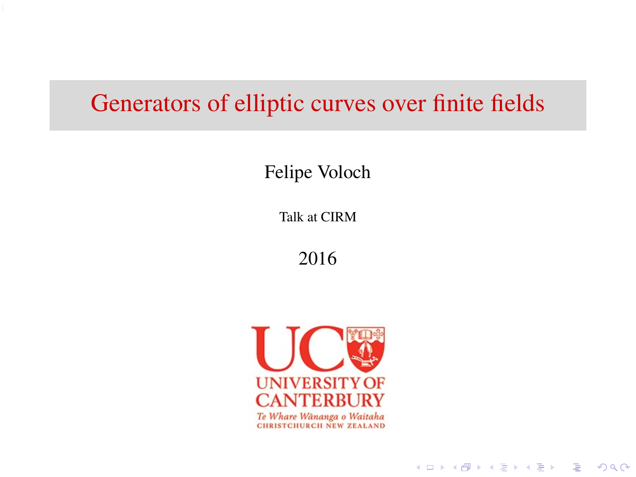# Generators of elliptic curves over finite fields

Felipe Voloch

Talk at CIRM

2016



**KOLKARYKELKEL & MAG**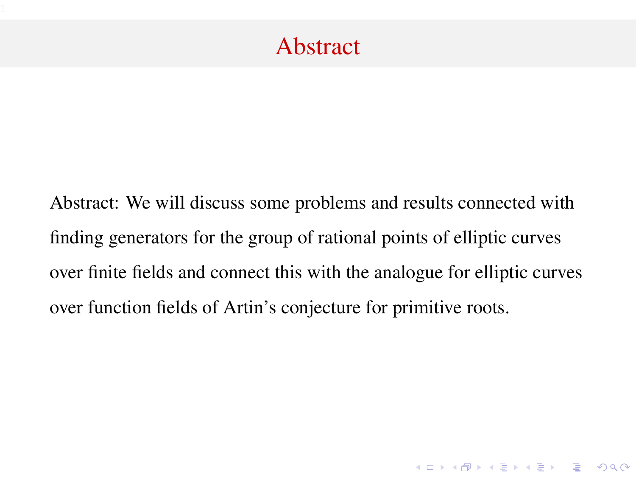# Abstract

Abstract: We will discuss some problems and results connected with finding generators for the group of rational points of elliptic curves over finite fields and connect this with the analogue for elliptic curves over function fields of Artin's conjecture for primitive roots.

K ロ ▶ K @ ▶ K 할 > K 할 > 1 할 > 1 이익어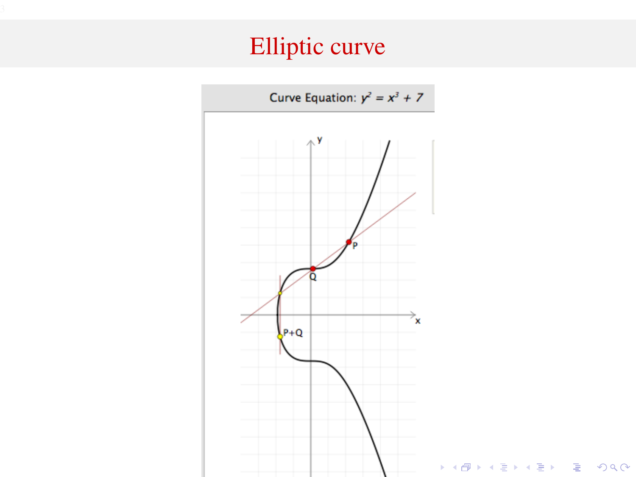# Elliptic curve

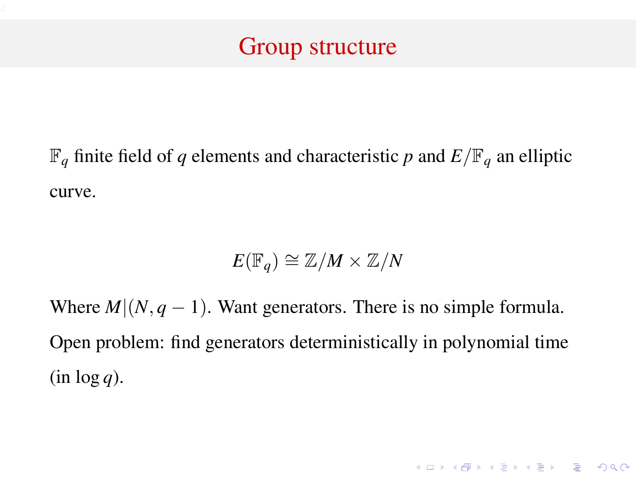# Group structure

 $\mathbb{F}_q$  finite field of *q* elements and characteristic *p* and  $E/\mathbb{F}_q$  an elliptic curve.

$$
E(\mathbb{F}_q) \cong \mathbb{Z}/M \times \mathbb{Z}/N
$$

Where  $M|(N, q-1)$ . Want generators. There is no simple formula. Open problem: find generators deterministically in polynomial time  $(in log q)$ .

**K ロ K K (日 K K B K X B K X B K K K K G K C K**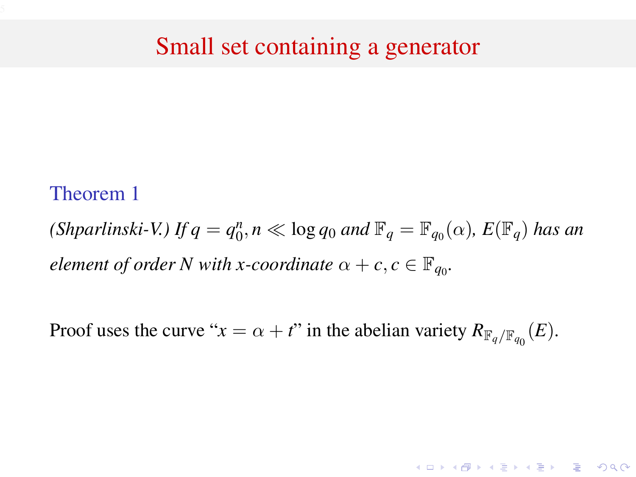### Small set containing a generator

#### Theorem 1

*(Shparlinski-V.)* If  $q = q_0^n$ ,  $n \ll \log q_0$  *and*  $\mathbb{F}_q = \mathbb{F}_{q_0}(\alpha)$ ,  $E(\mathbb{F}_q)$  *has an element of order N with x-coordinate*  $\alpha + c, c \in \mathbb{F}_{q_0}$ .

Proof uses the curve " $x = \alpha + t$ " in the abelian variety  $R_{\mathbb{F}_q/\mathbb{F}_{q_0}}(E)$ .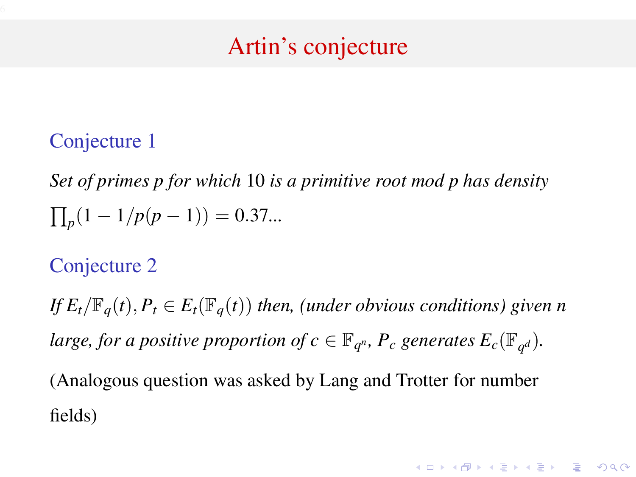# Artin's conjecture

#### Conjecture 1

*Set of primes p for which* 10 *is a primitive root mod p has density*  $\prod_p(1-1/p(p-1)) = 0.37...$ 

### Conjecture 2

*If*  $E_t/\mathbb{F}_q(t)$ ,  $P_t \in E_t(\mathbb{F}_q(t))$  *then, (under obvious conditions) given n large, for a positive proportion of*  $c \in \mathbb{F}_{q^n}$ *,*  $P_c$  *generates*  $E_c(\mathbb{F}_{q^d})$ *.* (Analogous question was asked by Lang and Trotter for number fields)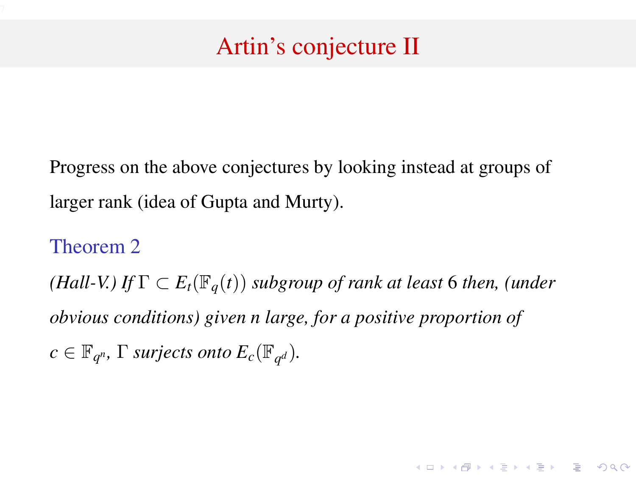# Artin's conjecture II

Progress on the above conjectures by looking instead at groups of larger rank (idea of Gupta and Murty).

Theorem 2 *(Hall-V.) If*  $\Gamma \subset E_t(\mathbb{F}_q(t))$  *subgroup of rank at least* 6 *then, (under obvious conditions) given n large, for a positive proportion of*  $c \in \mathbb{F}_{q^n}$ ,  $\Gamma$  *surjects onto*  $E_c(\mathbb{F}_{q^d})$ *.* 

**K ロ K K (日 K K B K X B K X B K K K K G K C K**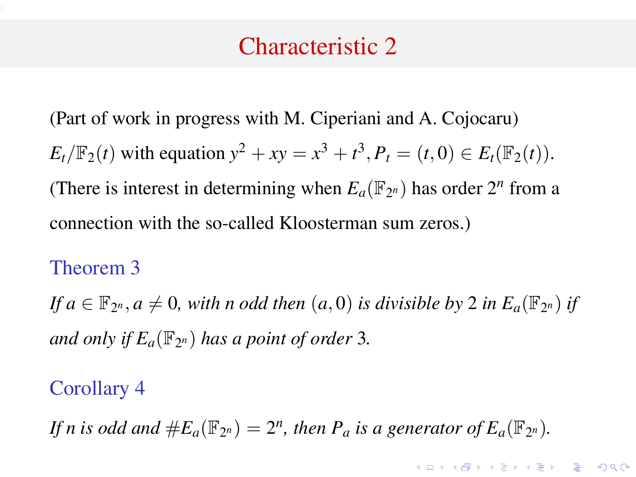### Characteristic 2

(Part of work in progress with M. Ciperiani and A. Cojocaru)  $E_t/\mathbb{F}_2(t)$  with equation  $y^2 + xy = x^3 + t^3$ ,  $P_t = (t, 0) \in E_t(\mathbb{F}_2(t))$ . (There is interest in determining when  $E_a(\mathbb{F}_{2^n})$  has order  $2^n$  from a connection with the so-called Kloosterman sum zeros.)

#### Theorem 3

*If*  $a \in \mathbb{F}_{2^n}$ ,  $a \neq 0$ , with n odd then  $(a, 0)$  is divisible by 2 in  $E_a(\mathbb{F}_{2^n})$  if and only if  $E_a(\mathbb{F}_{2^n})$  has a point of order 3.

#### Corollary 4

*If n* is odd and  $#E_a(\mathbb{F}_{2^n}) = 2^n$ , then  $P_a$  is a generator of  $E_a(\mathbb{F}_{2^n})$ .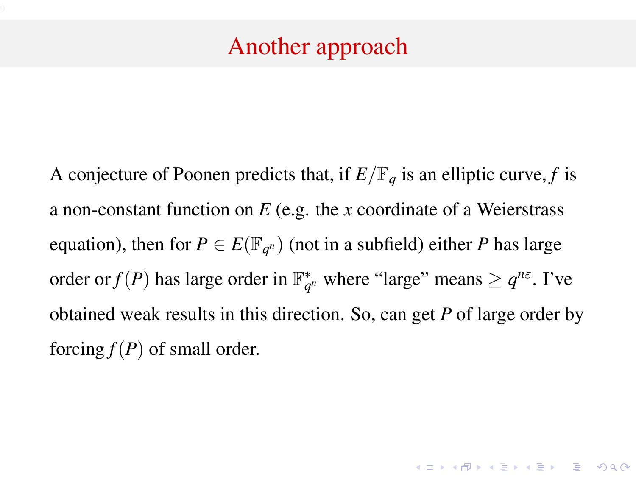# Another approach

A conjecture of Poonen predicts that, if  $E/\mathbb{F}_q$  is an elliptic curve, f is a non-constant function on *E* (e.g. the *x* coordinate of a Weierstrass equation), then for  $P \in E(\mathbb{F}_{q^n})$  (not in a subfield) either *P* has large order or  $f(P)$  has large order in  $\mathbb{F}_{q^n}^*$  where "large" means  $\geq q^{n\varepsilon}$ . I've obtained weak results in this direction. So, can get *P* of large order by forcing  $f(P)$  of small order.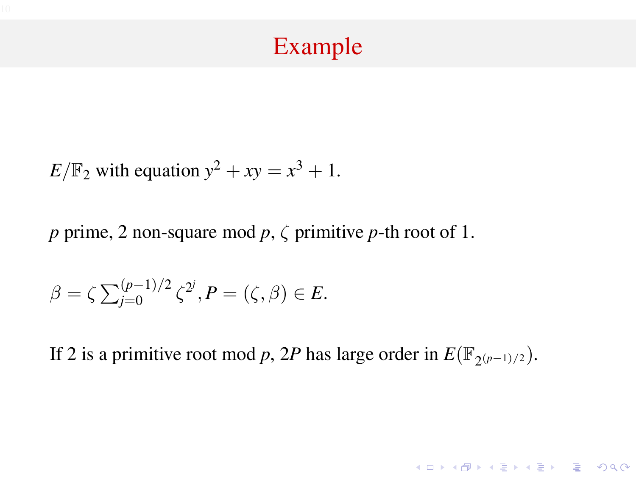## Example

 $E/\mathbb{F}_2$  with equation  $y^2 + xy = x^3 + 1$ .

*p* prime, 2 non-square mod *p*, ζ primitive *p*-th root of 1.

$$
\beta = \zeta \sum_{j=0}^{(p-1)/2} \zeta^{2^j}, P = (\zeta, \beta) \in E.
$$

If 2 is a primitive root mod *p*, 2*P* has large order in  $E(\mathbb{F}_{2(p-1)/2})$ .

K ロ ▶ K @ ▶ K 할 > K 할 > 1 할 > 1 이익어